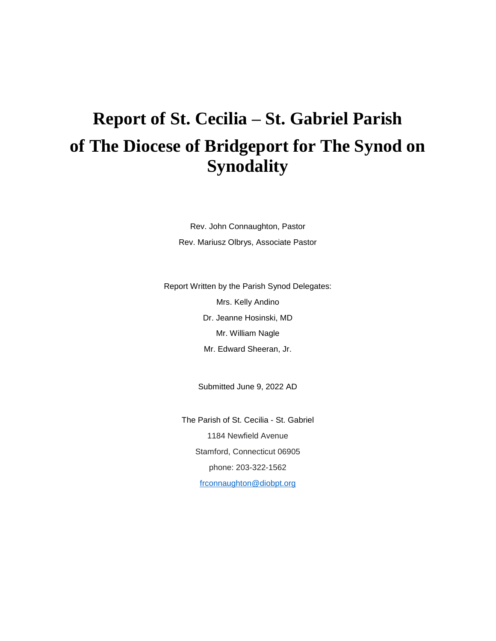# **Report of St. Cecilia – St. Gabriel Parish of The Diocese of Bridgeport for The Synod on Synodality**

Rev. John Connaughton, Pastor Rev. Mariusz Olbrys, Associate Pastor

Report Written by the Parish Synod Delegates: Mrs. Kelly Andino Dr. Jeanne Hosinski, MD Mr. William Nagle Mr. Edward Sheeran, Jr.

Submitted June 9, 2022 AD

The Parish of St. Cecilia - St. Gabriel 1184 Newfield Avenue Stamford, Connecticut 06905 phone: 203-322-1562 [frconnaughton@diobpt.org](mailto:frconnaughton@diobpt.org)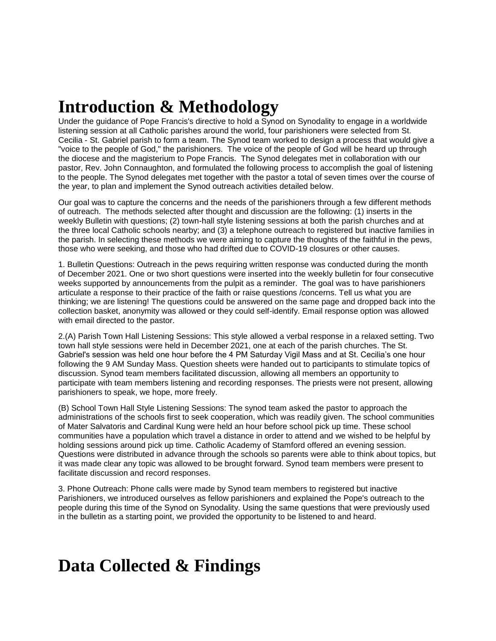## **Introduction & Methodology**

Under the guidance of Pope Francis's directive to hold a Synod on Synodality to engage in a worldwide listening session at all Catholic parishes around the world, four parishioners were selected from St. Cecilia - St. Gabriel parish to form a team. The Synod team worked to design a process that would give a "voice to the people of God," the parishioners. The voice of the people of God will be heard up through the diocese and the magisterium to Pope Francis. The Synod delegates met in collaboration with our pastor, Rev. John Connaughton, and formulated the following process to accomplish the goal of listening to the people. The Synod delegates met together with the pastor a total of seven times over the course of the year, to plan and implement the Synod outreach activities detailed below.

Our goal was to capture the concerns and the needs of the parishioners through a few different methods of outreach. The methods selected after thought and discussion are the following: (1) inserts in the weekly Bulletin with questions; (2) town-hall style listening sessions at both the parish churches and at the three local Catholic schools nearby; and (3) a telephone outreach to registered but inactive families in the parish. In selecting these methods we were aiming to capture the thoughts of the faithful in the pews, those who were seeking, and those who had drifted due to COVID-19 closures or other causes.

1. Bulletin Questions: Outreach in the pews requiring written response was conducted during the month of December 2021. One or two short questions were inserted into the weekly bulletin for four consecutive weeks supported by announcements from the pulpit as a reminder. The goal was to have parishioners articulate a response to their practice of the faith or raise questions /concerns. Tell us what you are thinking; we are listening! The questions could be answered on the same page and dropped back into the collection basket, anonymity was allowed or they could self-identify. Email response option was allowed with email directed to the pastor.

2.(A) Parish Town Hall Listening Sessions: This style allowed a verbal response in a relaxed setting. Two town hall style sessions were held in December 2021, one at each of the parish churches. The St. Gabriel's session was held one hour before the 4 PM Saturday Vigil Mass and at St. Cecilia's one hour following the 9 AM Sunday Mass. Question sheets were handed out to participants to stimulate topics of discussion. Synod team members facilitated discussion, allowing all members an opportunity to participate with team members listening and recording responses. The priests were not present, allowing parishioners to speak, we hope, more freely.

(B) School Town Hall Style Listening Sessions: The synod team asked the pastor to approach the administrations of the schools first to seek cooperation, which was readily given. The school communities of Mater Salvatoris and Cardinal Kung were held an hour before school pick up time. These school communities have a population which travel a distance in order to attend and we wished to be helpful by holding sessions around pick up time. Catholic Academy of Stamford offered an evening session. Questions were distributed in advance through the schools so parents were able to think about topics, but it was made clear any topic was allowed to be brought forward. Synod team members were present to facilitate discussion and record responses.

3. Phone Outreach: Phone calls were made by Synod team members to registered but inactive Parishioners, we introduced ourselves as fellow parishioners and explained the Pope's outreach to the people during this time of the Synod on Synodality. Using the same questions that were previously used in the bulletin as a starting point, we provided the opportunity to be listened to and heard.

## **Data Collected & Findings**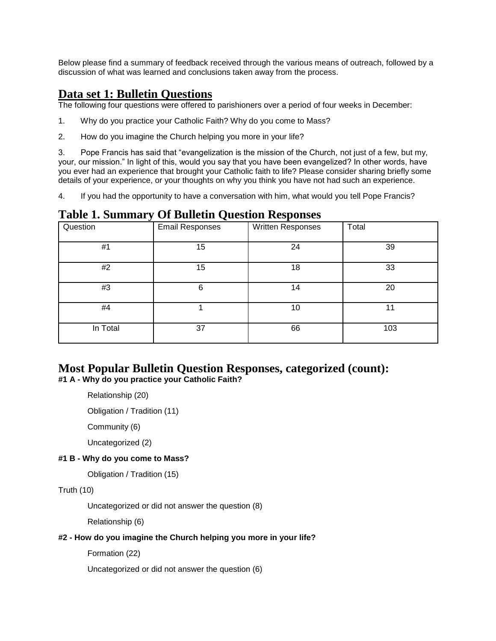Below please find a summary of feedback received through the various means of outreach, followed by a discussion of what was learned and conclusions taken away from the process.

### **Data set 1: Bulletin Questions**

The following four questions were offered to parishioners over a period of four weeks in December:

- 1. Why do you practice your Catholic Faith? Why do you come to Mass?
- 2. How do you imagine the Church helping you more in your life?

3. Pope Francis has said that "evangelization is the mission of the Church, not just of a few, but my, your, our mission." In light of this, would you say that you have been evangelized? In other words, have you ever had an experience that brought your Catholic faith to life? Please consider sharing briefly some details of your experience, or your thoughts on why you think you have not had such an experience.

4. If you had the opportunity to have a conversation with him, what would you tell Pope Francis?

### **Table 1. Summary Of Bulletin Question Responses**

| $\bullet$ | ∼                      |                   |       |
|-----------|------------------------|-------------------|-------|
| Question  | <b>Email Responses</b> | Written Responses | Total |
| #1        | 15                     | 24                | 39    |
| #2        | 15                     | 18                | 33    |
| #3        | 6                      | 14                | 20    |
| #4        |                        | 10                | 11    |
| In Total  | 37                     | 66                | 103   |

## **Most Popular Bulletin Question Responses, categorized (count):**

**#1 A - Why do you practice your Catholic Faith?**

Relationship (20)

Obligation / Tradition (11)

Community (6)

Uncategorized (2)

#### **#1 B - Why do you come to Mass?**

Obligation / Tradition (15)

#### Truth (10)

Uncategorized or did not answer the question (8)

Relationship (6)

#### **#2 - How do you imagine the Church helping you more in your life?**

Formation (22)

Uncategorized or did not answer the question (6)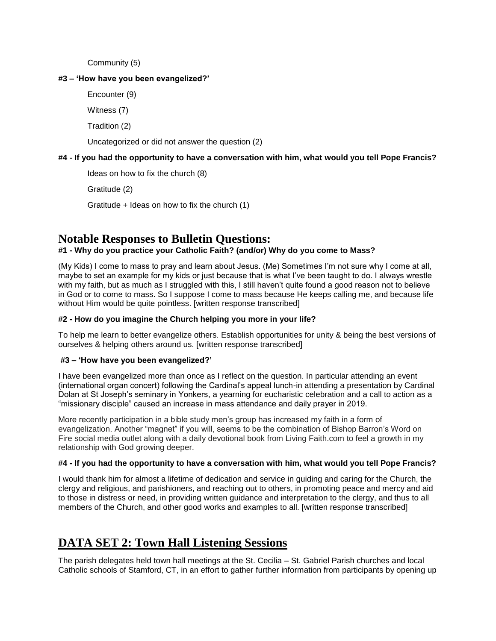Community (5)

#### **#3 – 'How have you been evangelized?'**

Encounter (9)

Witness (7)

Tradition (2)

Uncategorized or did not answer the question (2)

### **#4 - If you had the opportunity to have a conversation with him, what would you tell Pope Francis?**

Ideas on how to fix the church (8)

Gratitude (2)

Gratitude + Ideas on how to fix the church (1)

## **Notable Responses to Bulletin Questions:**

### **#1 - Why do you practice your Catholic Faith? (and/or) Why do you come to Mass?**

(My Kids) I come to mass to pray and learn about Jesus. (Me) Sometimes I'm not sure why I come at all, maybe to set an example for my kids or just because that is what I've been taught to do. I always wrestle with my faith, but as much as I struggled with this, I still haven't quite found a good reason not to believe in God or to come to mass. So I suppose I come to mass because He keeps calling me, and because life without Him would be quite pointless. [written response transcribed]

#### **#2 - How do you imagine the Church helping you more in your life?**

To help me learn to better evangelize others. Establish opportunities for unity & being the best versions of ourselves & helping others around us. [written response transcribed]

#### **#3 – 'How have you been evangelized?'**

I have been evangelized more than once as I reflect on the question. In particular attending an event (international organ concert) following the Cardinal's appeal lunch-in attending a presentation by Cardinal Dolan at St Joseph's seminary in Yonkers, a yearning for eucharistic celebration and a call to action as a "missionary disciple" caused an increase in mass attendance and daily prayer in 2019.

More recently participation in a bible study men's group has increased my faith in a form of evangelization. Another "magnet" if you will, seems to be the combination of Bishop Barron's Word on Fire social media outlet along with a daily devotional book from Living Faith.com to feel a growth in my relationship with God growing deeper.

#### **#4 - If you had the opportunity to have a conversation with him, what would you tell Pope Francis?**

I would thank him for almost a lifetime of dedication and service in guiding and caring for the Church, the clergy and religious, and parishioners, and reaching out to others, in promoting peace and mercy and aid to those in distress or need, in providing written guidance and interpretation to the clergy, and thus to all members of the Church, and other good works and examples to all. [written response transcribed]

## **DATA SET 2: Town Hall Listening Sessions**

The parish delegates held town hall meetings at the St. Cecilia – St. Gabriel Parish churches and local Catholic schools of Stamford, CT, in an effort to gather further information from participants by opening up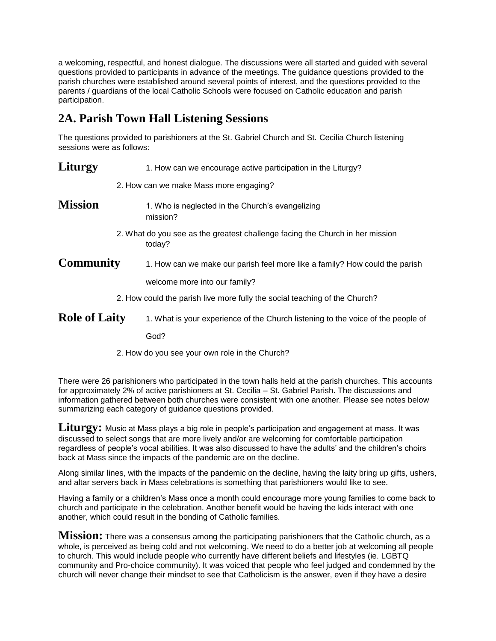a welcoming, respectful, and honest dialogue. The discussions were all started and guided with several questions provided to participants in advance of the meetings. The guidance questions provided to the parish churches were established around several points of interest, and the questions provided to the parents / guardians of the local Catholic Schools were focused on Catholic education and parish participation.

## **2A. Parish Town Hall Listening Sessions**

The questions provided to parishioners at the St. Gabriel Church and St. Cecilia Church listening sessions were as follows:

| Liturgy              | 1. How can we encourage active participation in the Liturgy?                            |
|----------------------|-----------------------------------------------------------------------------------------|
|                      | 2. How can we make Mass more engaging?                                                  |
| <b>Mission</b>       | 1. Who is neglected in the Church's evangelizing<br>mission?                            |
|                      | 2. What do you see as the greatest challenge facing the Church in her mission<br>today? |
| Community            | 1. How can we make our parish feel more like a family? How could the parish             |
|                      | welcome more into our family?                                                           |
|                      | 2. How could the parish live more fully the social teaching of the Church?              |
| <b>Role of Laity</b> | 1. What is your experience of the Church listening to the voice of the people of        |
|                      | God?                                                                                    |
|                      |                                                                                         |

2. How do you see your own role in the Church?

There were 26 parishioners who participated in the town halls held at the parish churches. This accounts for approximately 2% of active parishioners at St. Cecilia – St. Gabriel Parish. The discussions and information gathered between both churches were consistent with one another. Please see notes below summarizing each category of guidance questions provided.

**Liturgy:** Music at Mass plays a big role in people's participation and engagement at mass. It was discussed to select songs that are more lively and/or are welcoming for comfortable participation regardless of people's vocal abilities. It was also discussed to have the adults' and the children's choirs back at Mass since the impacts of the pandemic are on the decline.

Along similar lines, with the impacts of the pandemic on the decline, having the laity bring up gifts, ushers, and altar servers back in Mass celebrations is something that parishioners would like to see.

Having a family or a children's Mass once a month could encourage more young families to come back to church and participate in the celebration. Another benefit would be having the kids interact with one another, which could result in the bonding of Catholic families.

**Mission:** There was a consensus among the participating parishioners that the Catholic church, as a whole, is perceived as being cold and not welcoming. We need to do a better job at welcoming all people to church. This would include people who currently have different beliefs and lifestyles (ie. LGBTQ community and Pro-choice community). It was voiced that people who feel judged and condemned by the church will never change their mindset to see that Catholicism is the answer, even if they have a desire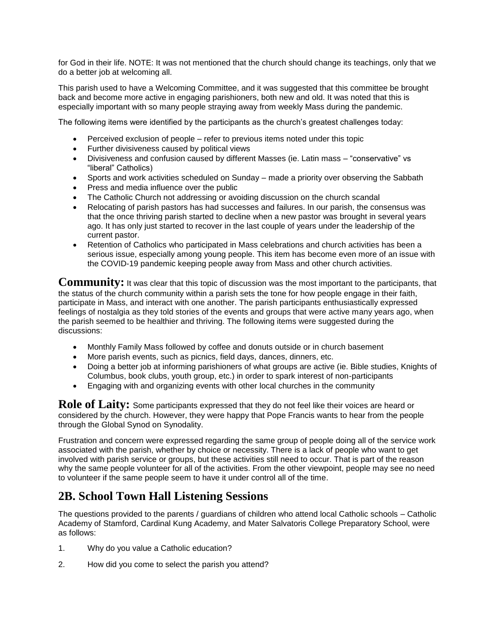for God in their life. NOTE: It was not mentioned that the church should change its teachings, only that we do a better job at welcoming all.

This parish used to have a Welcoming Committee, and it was suggested that this committee be brought back and become more active in engaging parishioners, both new and old. It was noted that this is especially important with so many people straying away from weekly Mass during the pandemic.

The following items were identified by the participants as the church's greatest challenges today:

- Perceived exclusion of people refer to previous items noted under this topic
- Further divisiveness caused by political views
- Divisiveness and confusion caused by different Masses (ie. Latin mass "conservative" vs "liberal" Catholics)
- Sports and work activities scheduled on Sunday made a priority over observing the Sabbath
- Press and media influence over the public
- The Catholic Church not addressing or avoiding discussion on the church scandal
- Relocating of parish pastors has had successes and failures. In our parish, the consensus was that the once thriving parish started to decline when a new pastor was brought in several years ago. It has only just started to recover in the last couple of years under the leadership of the current pastor.
- Retention of Catholics who participated in Mass celebrations and church activities has been a serious issue, especially among young people. This item has become even more of an issue with the COVID-19 pandemic keeping people away from Mass and other church activities.

**Community:** It was clear that this topic of discussion was the most important to the participants, that the status of the church community within a parish sets the tone for how people engage in their faith, participate in Mass, and interact with one another. The parish participants enthusiastically expressed feelings of nostalgia as they told stories of the events and groups that were active many years ago, when the parish seemed to be healthier and thriving. The following items were suggested during the discussions:

- Monthly Family Mass followed by coffee and donuts outside or in church basement
- More parish events, such as picnics, field days, dances, dinners, etc.
- Doing a better job at informing parishioners of what groups are active (ie. Bible studies, Knights of Columbus, book clubs, youth group, etc.) in order to spark interest of non-participants
- Engaging with and organizing events with other local churches in the community

**Role of Laity:** Some participants expressed that they do not feel like their voices are heard or considered by the church. However, they were happy that Pope Francis wants to hear from the people through the Global Synod on Synodality.

Frustration and concern were expressed regarding the same group of people doing all of the service work associated with the parish, whether by choice or necessity. There is a lack of people who want to get involved with parish service or groups, but these activities still need to occur. That is part of the reason why the same people volunteer for all of the activities. From the other viewpoint, people may see no need to volunteer if the same people seem to have it under control all of the time.

## **2B. School Town Hall Listening Sessions**

The questions provided to the parents / guardians of children who attend local Catholic schools – Catholic Academy of Stamford, Cardinal Kung Academy, and Mater Salvatoris College Preparatory School, were as follows:

- 1. Why do you value a Catholic education?
- 2. How did you come to select the parish you attend?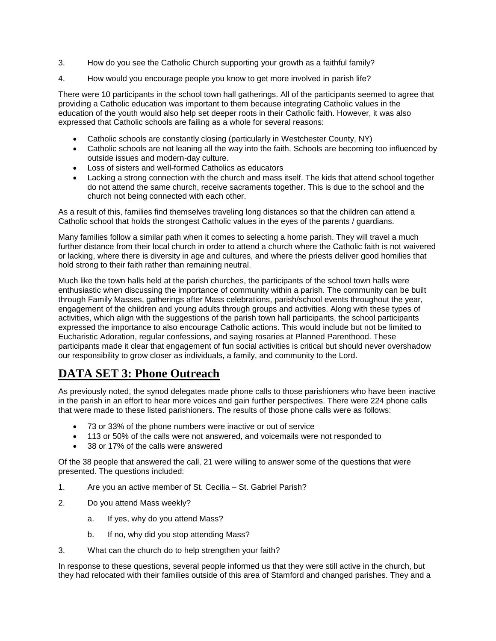- 3. How do you see the Catholic Church supporting your growth as a faithful family?
- 4. How would you encourage people you know to get more involved in parish life?

There were 10 participants in the school town hall gatherings. All of the participants seemed to agree that providing a Catholic education was important to them because integrating Catholic values in the education of the youth would also help set deeper roots in their Catholic faith. However, it was also expressed that Catholic schools are failing as a whole for several reasons:

- Catholic schools are constantly closing (particularly in Westchester County, NY)
- Catholic schools are not leaning all the way into the faith. Schools are becoming too influenced by outside issues and modern-day culture.
- Loss of sisters and well-formed Catholics as educators
- Lacking a strong connection with the church and mass itself. The kids that attend school together do not attend the same church, receive sacraments together. This is due to the school and the church not being connected with each other.

As a result of this, families find themselves traveling long distances so that the children can attend a Catholic school that holds the strongest Catholic values in the eyes of the parents / guardians.

Many families follow a similar path when it comes to selecting a home parish. They will travel a much further distance from their local church in order to attend a church where the Catholic faith is not waivered or lacking, where there is diversity in age and cultures, and where the priests deliver good homilies that hold strong to their faith rather than remaining neutral.

Much like the town halls held at the parish churches, the participants of the school town halls were enthusiastic when discussing the importance of community within a parish. The community can be built through Family Masses, gatherings after Mass celebrations, parish/school events throughout the year, engagement of the children and young adults through groups and activities. Along with these types of activities, which align with the suggestions of the parish town hall participants, the school participants expressed the importance to also encourage Catholic actions. This would include but not be limited to Eucharistic Adoration, regular confessions, and saying rosaries at Planned Parenthood. These participants made it clear that engagement of fun social activities is critical but should never overshadow our responsibility to grow closer as individuals, a family, and community to the Lord.

## **DATA SET 3: Phone Outreach**

As previously noted, the synod delegates made phone calls to those parishioners who have been inactive in the parish in an effort to hear more voices and gain further perspectives. There were 224 phone calls that were made to these listed parishioners. The results of those phone calls were as follows:

- 73 or 33% of the phone numbers were inactive or out of service
- 113 or 50% of the calls were not answered, and voicemails were not responded to
- 38 or 17% of the calls were answered

Of the 38 people that answered the call, 21 were willing to answer some of the questions that were presented. The questions included:

- 1. Are you an active member of St. Cecilia St. Gabriel Parish?
- 2. Do you attend Mass weekly?
	- a. If yes, why do you attend Mass?
	- b. If no, why did you stop attending Mass?
- 3. What can the church do to help strengthen your faith?

In response to these questions, several people informed us that they were still active in the church, but they had relocated with their families outside of this area of Stamford and changed parishes. They and a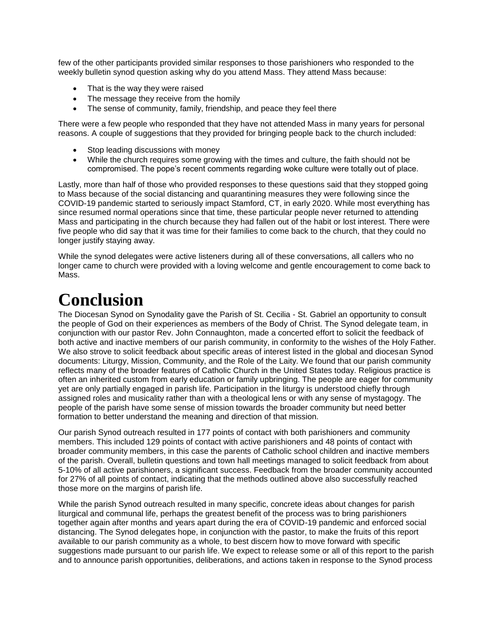few of the other participants provided similar responses to those parishioners who responded to the weekly bulletin synod question asking why do you attend Mass. They attend Mass because:

- That is the way they were raised
- The message they receive from the homily
- The sense of community, family, friendship, and peace they feel there

There were a few people who responded that they have not attended Mass in many years for personal reasons. A couple of suggestions that they provided for bringing people back to the church included:

- Stop leading discussions with money
- While the church requires some growing with the times and culture, the faith should not be compromised. The pope's recent comments regarding woke culture were totally out of place.

Lastly, more than half of those who provided responses to these questions said that they stopped going to Mass because of the social distancing and quarantining measures they were following since the COVID-19 pandemic started to seriously impact Stamford, CT, in early 2020. While most everything has since resumed normal operations since that time, these particular people never returned to attending Mass and participating in the church because they had fallen out of the habit or lost interest. There were five people who did say that it was time for their families to come back to the church, that they could no longer justify staying away.

While the synod delegates were active listeners during all of these conversations, all callers who no longer came to church were provided with a loving welcome and gentle encouragement to come back to Mass.

## **Conclusion**

The Diocesan Synod on Synodality gave the Parish of St. Cecilia - St. Gabriel an opportunity to consult the people of God on their experiences as members of the Body of Christ. The Synod delegate team, in conjunction with our pastor Rev. John Connaughton, made a concerted effort to solicit the feedback of both active and inactive members of our parish community, in conformity to the wishes of the Holy Father. We also strove to solicit feedback about specific areas of interest listed in the global and diocesan Synod documents: Liturgy, Mission, Community, and the Role of the Laity. We found that our parish community reflects many of the broader features of Catholic Church in the United States today. Religious practice is often an inherited custom from early education or family upbringing. The people are eager for community yet are only partially engaged in parish life. Participation in the liturgy is understood chiefly through assigned roles and musicality rather than with a theological lens or with any sense of mystagogy. The people of the parish have some sense of mission towards the broader community but need better formation to better understand the meaning and direction of that mission.

Our parish Synod outreach resulted in 177 points of contact with both parishioners and community members. This included 129 points of contact with active parishioners and 48 points of contact with broader community members, in this case the parents of Catholic school children and inactive members of the parish. Overall, bulletin questions and town hall meetings managed to solicit feedback from about 5-10% of all active parishioners, a significant success. Feedback from the broader community accounted for 27% of all points of contact, indicating that the methods outlined above also successfully reached those more on the margins of parish life.

While the parish Synod outreach resulted in many specific, concrete ideas about changes for parish liturgical and communal life, perhaps the greatest benefit of the process was to bring parishioners together again after months and years apart during the era of COVID-19 pandemic and enforced social distancing. The Synod delegates hope, in conjunction with the pastor, to make the fruits of this report available to our parish community as a whole, to best discern how to move forward with specific suggestions made pursuant to our parish life. We expect to release some or all of this report to the parish and to announce parish opportunities, deliberations, and actions taken in response to the Synod process